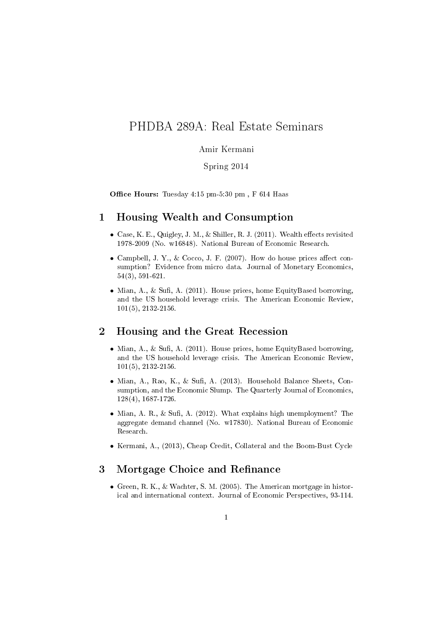# PHDBA 289A: Real Estate Seminars

#### Amir Kermani

#### Spring 2014

Office Hours: Tuesday  $4:15$  pm- $5:30$  pm, F  $614$  Haas

## 1 Housing Wealth and Consumption

- Case, K. E., Quigley, J. M., & Shiller, R. J.  $(2011)$ . Wealth effects revisited 1978-2009 (No. w16848). National Bureau of Economic Research.
- Campbell, J. Y., & Cocco, J. F. (2007). How do house prices affect consumption? Evidence from micro data. Journal of Monetary Economics, 54(3), 591-621.
- Mian, A., & Sufi, A. (2011). House prices, home EquityBased borrowing. and the US household leverage crisis. The American Economic Review, 101(5), 2132-2156.

## 2 Housing and the Great Recession

- Mian, A., & Sufi, A. (2011). House prices, home EquityBased borrowing. and the US household leverage crisis. The American Economic Review, 101(5), 2132-2156.
- Mian, A., Rao, K., & Sufi, A.  $(2013)$ . Household Balance Sheets, Consumption, and the Economic Slump. The Quarterly Journal of Economics, 128(4), 1687-1726.
- Mian, A. R., & Sufi, A. (2012). What explains high unemployment? The aggregate demand channel (No. w17830). National Bureau of Economic Research.
- Kermani, A., (2013), Cheap Credit, Collateral and the Boom-Bust Cycle

## 3 Mortgage Choice and Refinance

• Green, R. K., & Wachter, S. M. (2005). The American mortgage in historical and international context. Journal of Economic Perspectives, 93-114.